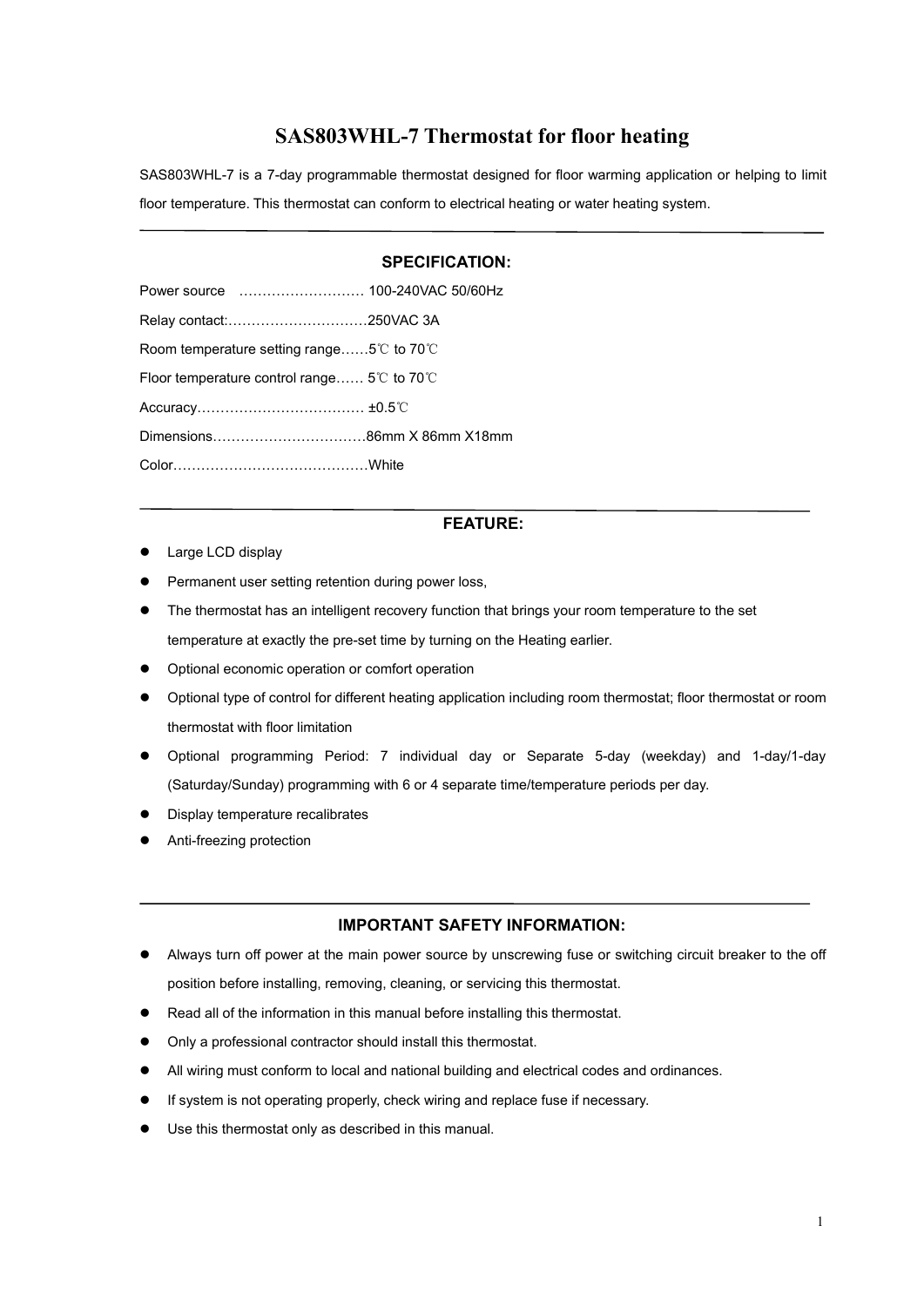# **SAS803WHL-7 Thermostat for floor heating**

SAS803WHL-7 is a 7-day programmable thermostat designed for floor warming application or helping to limit floor temperature. This thermostat can conform to electrical heating or water heating system.

## **SPECIFICATION:**

| Room temperature setting range5°C to 70°C   |  |
|---------------------------------------------|--|
| Floor temperature control range 5°C to 70°C |  |
| Accuracy……………………………… ±0.5℃                  |  |
|                                             |  |
|                                             |  |
|                                             |  |

## **FEATURE:**

- Large LCD display
- **•** Permanent user setting retention during power loss,
- The thermostat has an intelligent recovery function that brings your room temperature to the set temperature at exactly the pre-set time by turning on the Heating earlier.
- $\bullet$  Optional economic operation or comfort operation
- Optional type of control for different heating application including room thermostat; floor thermostat or room thermostat with floor limitation
- Optional programming Period: 7 individual day or Separate 5-day (weekday) and 1-day/1-day (Saturday/Sunday) programming with 6 or 4 separate time/temperature periods per day.
- **•** Display temperature recalibrates
- Anti-freezing protection

## **IMPORTANT SAFETY INFORMATION:**

- Always turn off power at the main power source by unscrewing fuse or switching circuit breaker to the off position before installing, removing, cleaning, or servicing this thermostat.
- Read all of the information in this manual before installing this thermostat.
- Only a professional contractor should install this thermostat.
- All wiring must conform to local and national building and electrical codes and ordinances.
- If system is not operating properly, check wiring and replace fuse if necessary.
- Use this thermostat only as described in this manual.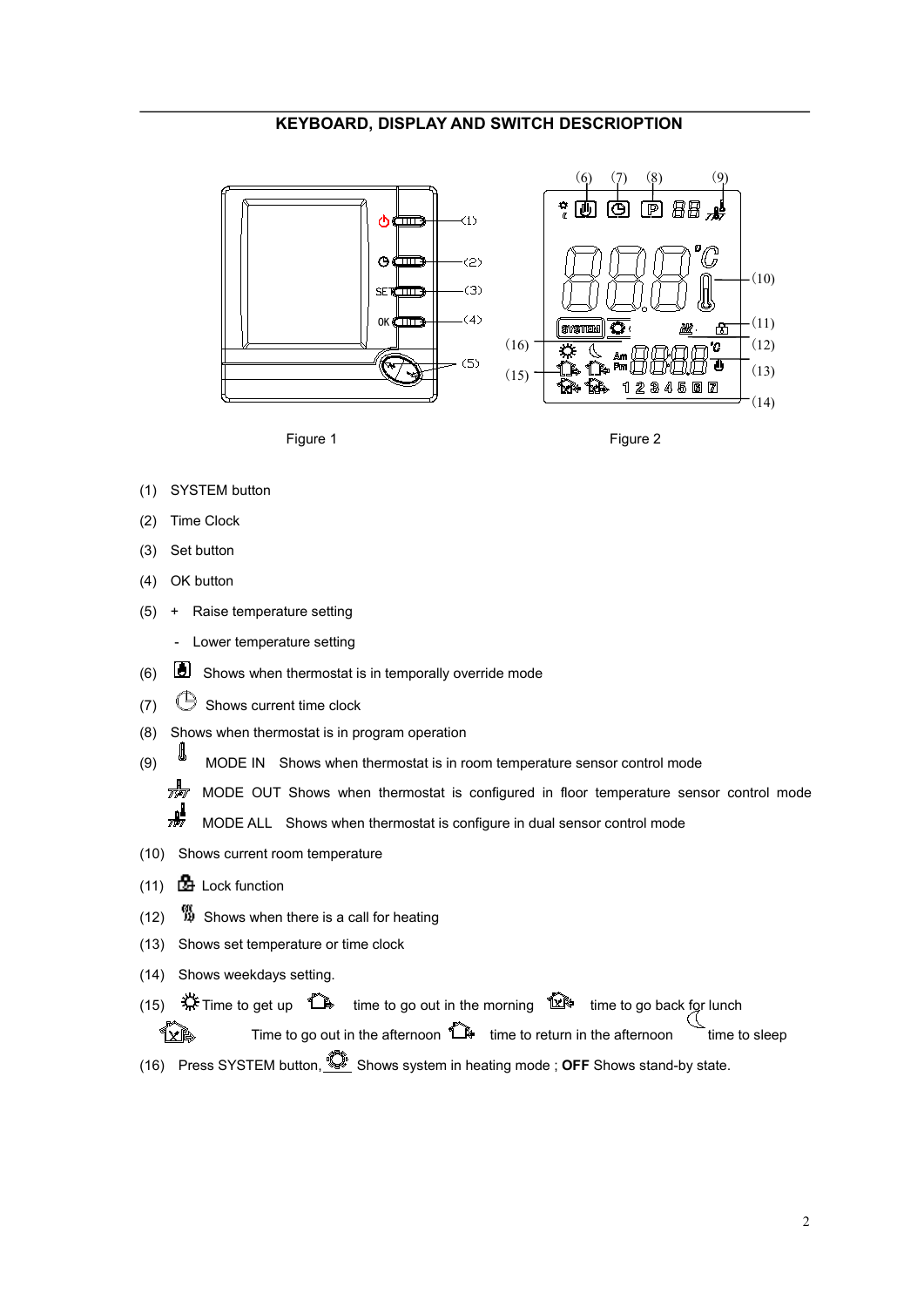## **KEYBOARD, DISPLAY AND SWITCH DESCRIOPTION**





- (1) SYSTEM button
- (2) Time Clock
- (3) Set button
- (4) OK button
- (5) + Raise temperature setting
	- Lower temperature setting
- (6)  $\Box$  Shows when thermostat is in temporally override mode
- (7)  $\bigcirc$  Shows current time clock
- (8) Shows when thermostat is in program operation
- $(9)$  MODE IN Shows when thermostat is in room temperature sensor control mode
	- $\frac{1}{\sqrt{2}}$  MODE OUT Shows when thermostat is configured in floor temperature sensor control mode ₩ MODE ALL Shows when thermostat is configure in dual sensor control mode
- (10) Shows current room temperature
- (11) Lock function
- $(12)$   $\frac{60}{12}$  Shows when there is a call for heating
- (13) Shows set temperature or time clock
- (14) Shows weekdays setting.
- (15)  $\frac{11}{20}$  Time to get up  $\frac{11}{20}$  time to go out in the morning  $\frac{11}{20}$  time to go back for lunch

Time to go out in the afternoon  $\widehat{\mathbb{D}}$  time to return in the afternoon time to sleep **TXP** 

(16) Press SYSTEM button,  $\overline{\mathbb{Q}}$  Shows system in heating mode ; **OFF** Shows stand-by state.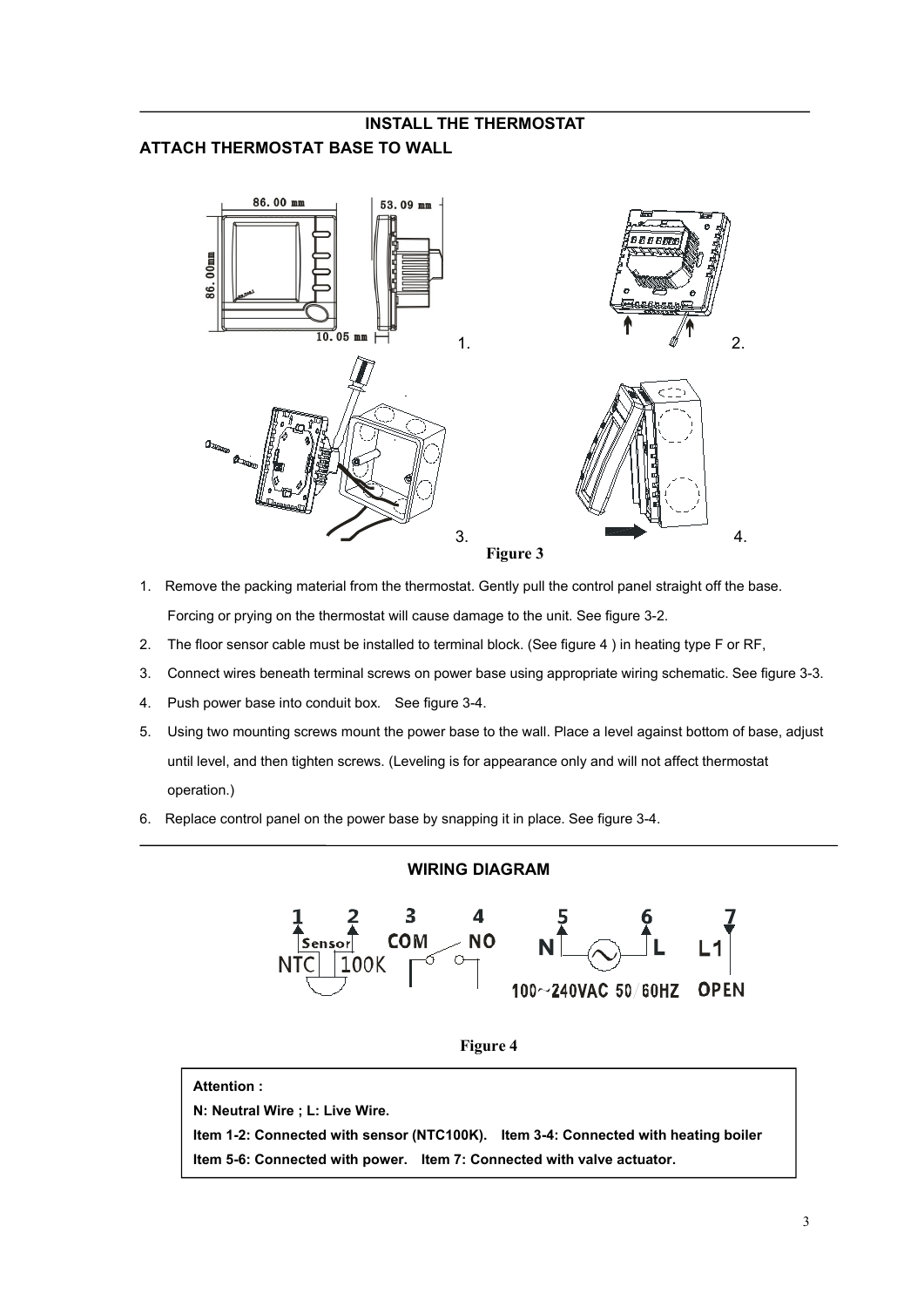# **INSTALL THE THERMOSTAT ATTACH THERMOSTAT BASE TO WALL**



- 1. Remove the packing material from the thermostat. Gently pull the control panel straight off the base. Forcing or prying on the thermostat will cause damage to the unit. See figure 3-2.
- 2. The floor sensor cable must be installed to terminal block. (See figure 4) in heating type F or RF,
- 3. Connect wires beneath terminal screws on power base using appropriate wiring schematic. See figure 3-3.
- 4. Push power base into conduit box. See figure 3-4.
- 5. Using two mounting screws mount the power base to the wall. Place a level against bottom of base, adjust until level, and then tighten screws. (Leveling is for appearance only and will not affect thermostat operation.)
- 6. Replace control panel on the power base by snapping it in place. See figure 3-4.

## **WIRING DIAGRAM**



**Figure 4**

## **Attention :**

**N: Neutral Wire ; L: Live Wire.**

**Item 1-2: Connected with sensor (NTC100K). Item 3-4: Connected with heating boiler Item 5-6: Connected with power. Item 7: Connected with valve actuator.**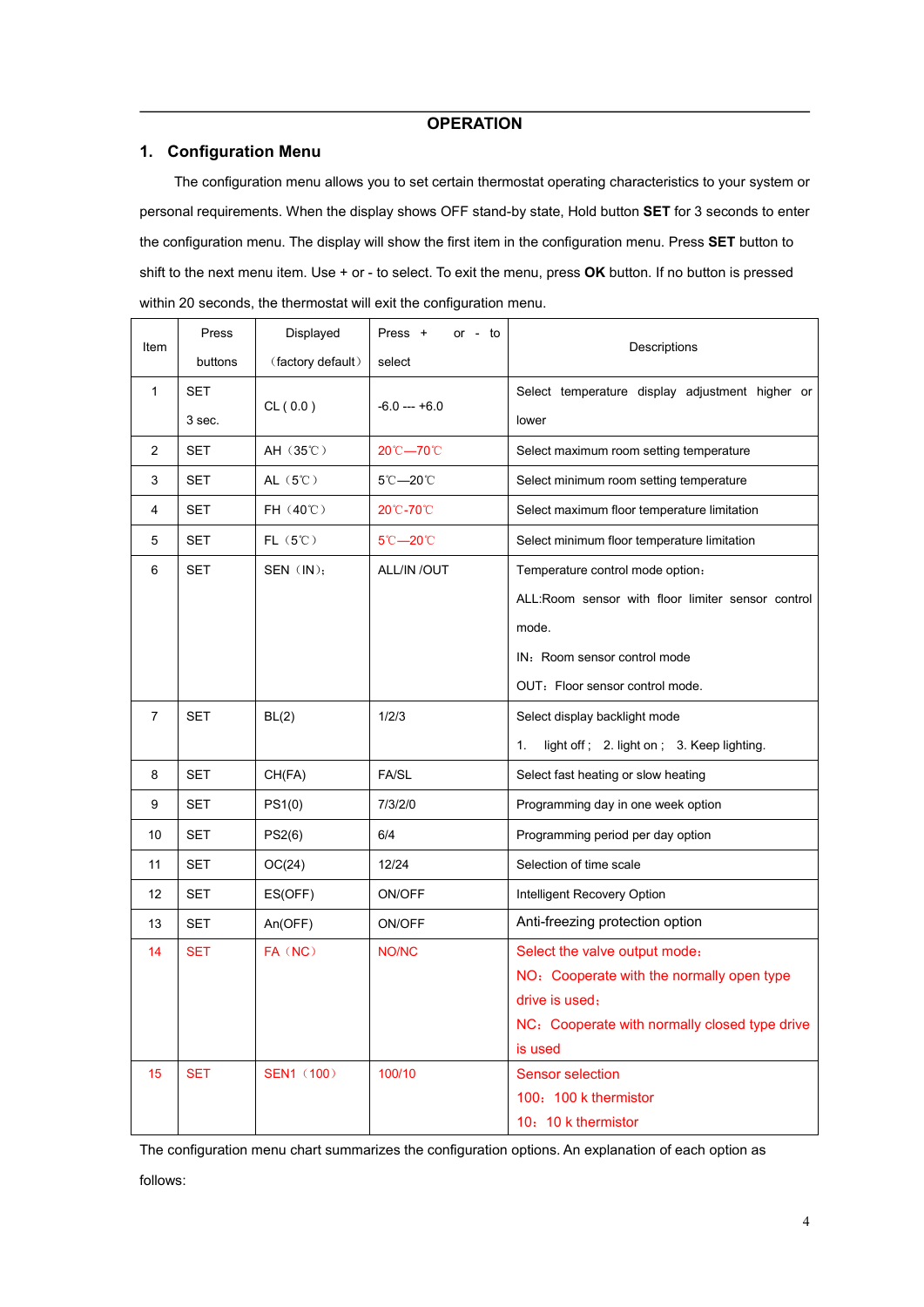## **OPERATION**

## **1. Configuration Menu**

The configuration menu allows you to set certain thermostat operating characteristics to your system or personal requirements. When the display shows OFF stand-by state, Hold button **SET** for 3 seconds to enter the configuration menu. The display will show the first item in the configuration menu. Press **SET** button to shift to the next menu item. Use + or - to select. To exit the menu, press **OK** button. If no button is pressed within 20 seconds, the thermostat will exit the configuration menu.

|                | Press      | Displayed                  | Press +       | or $-$ to |                                                   |  |  |  |  |  |  |  |  |
|----------------|------------|----------------------------|---------------|-----------|---------------------------------------------------|--|--|--|--|--|--|--|--|
| Item           | buttons    | (factory default)          | select        |           | Descriptions                                      |  |  |  |  |  |  |  |  |
| $\mathbf{1}$   | SET        |                            |               |           | Select temperature display adjustment higher or   |  |  |  |  |  |  |  |  |
|                | 3 sec.     | CL(0.0)                    | $-6.0 - +6.0$ |           | lower                                             |  |  |  |  |  |  |  |  |
| $\overline{2}$ | <b>SET</b> | AH (35°C)                  | 20℃-70℃       |           | Select maximum room setting temperature           |  |  |  |  |  |  |  |  |
| 3              | SET        | AL $(5^{\circ}\mathrm{C})$ | 5℃-20℃        |           | Select minimum room setting temperature           |  |  |  |  |  |  |  |  |
| 4              | <b>SET</b> | FH (40°C)                  | 20℃-70℃       |           | Select maximum floor temperature limitation       |  |  |  |  |  |  |  |  |
| $\overline{5}$ | <b>SET</b> | $FL(5^{\circ}\mathrm{C})$  | 5℃-20℃        |           | Select minimum floor temperature limitation       |  |  |  |  |  |  |  |  |
| 6              | <b>SET</b> | SEN (IN);                  | ALL/IN /OUT   |           | Temperature control mode option:                  |  |  |  |  |  |  |  |  |
|                |            |                            |               |           | ALL:Room sensor with floor limiter sensor control |  |  |  |  |  |  |  |  |
|                |            |                            |               |           | mode.                                             |  |  |  |  |  |  |  |  |
|                |            |                            |               |           | IN: Room sensor control mode                      |  |  |  |  |  |  |  |  |
|                |            |                            |               |           | OUT: Floor sensor control mode.                   |  |  |  |  |  |  |  |  |
| $\overline{7}$ | <b>SET</b> | BL(2)                      | 1/2/3         |           | Select display backlight mode                     |  |  |  |  |  |  |  |  |
|                |            |                            |               |           | light off; 2. light on; 3. Keep lighting.<br>1.   |  |  |  |  |  |  |  |  |
| 8              | <b>SET</b> | CH(FA)                     | FA/SL         |           | Select fast heating or slow heating               |  |  |  |  |  |  |  |  |
| 9              | <b>SET</b> | PS1(0)                     | 7/3/2/0       |           | Programming day in one week option                |  |  |  |  |  |  |  |  |
| 10             | <b>SET</b> | PS2(6)                     | 6/4           |           | Programming period per day option                 |  |  |  |  |  |  |  |  |
| 11             | <b>SET</b> | OC(24)                     | 12/24         |           | Selection of time scale                           |  |  |  |  |  |  |  |  |
| 12             | <b>SET</b> | ES(OFF)                    | ON/OFF        |           | Intelligent Recovery Option                       |  |  |  |  |  |  |  |  |
| 13             | <b>SET</b> | An(OFF)                    | ON/OFF        |           | Anti-freezing protection option                   |  |  |  |  |  |  |  |  |
| 14             | <b>SET</b> | FA (NC)                    | NO/NC         |           | Select the valve output mode:                     |  |  |  |  |  |  |  |  |
|                |            |                            |               |           | NO: Cooperate with the normally open type         |  |  |  |  |  |  |  |  |
|                |            |                            |               |           | drive is used;                                    |  |  |  |  |  |  |  |  |
|                |            |                            |               |           | NC: Cooperate with normally closed type drive     |  |  |  |  |  |  |  |  |
|                |            |                            |               |           | is used                                           |  |  |  |  |  |  |  |  |
| 15             | <b>SET</b> | <b>SEN1 (100)</b>          | 100/10        |           | <b>Sensor selection</b><br>100: 100 k thermistor  |  |  |  |  |  |  |  |  |
|                |            |                            |               |           | 10: 10 k thermistor                               |  |  |  |  |  |  |  |  |
|                |            |                            |               |           |                                                   |  |  |  |  |  |  |  |  |

The configuration menu chart summarizes the configuration options. An explanation of each option as

follows: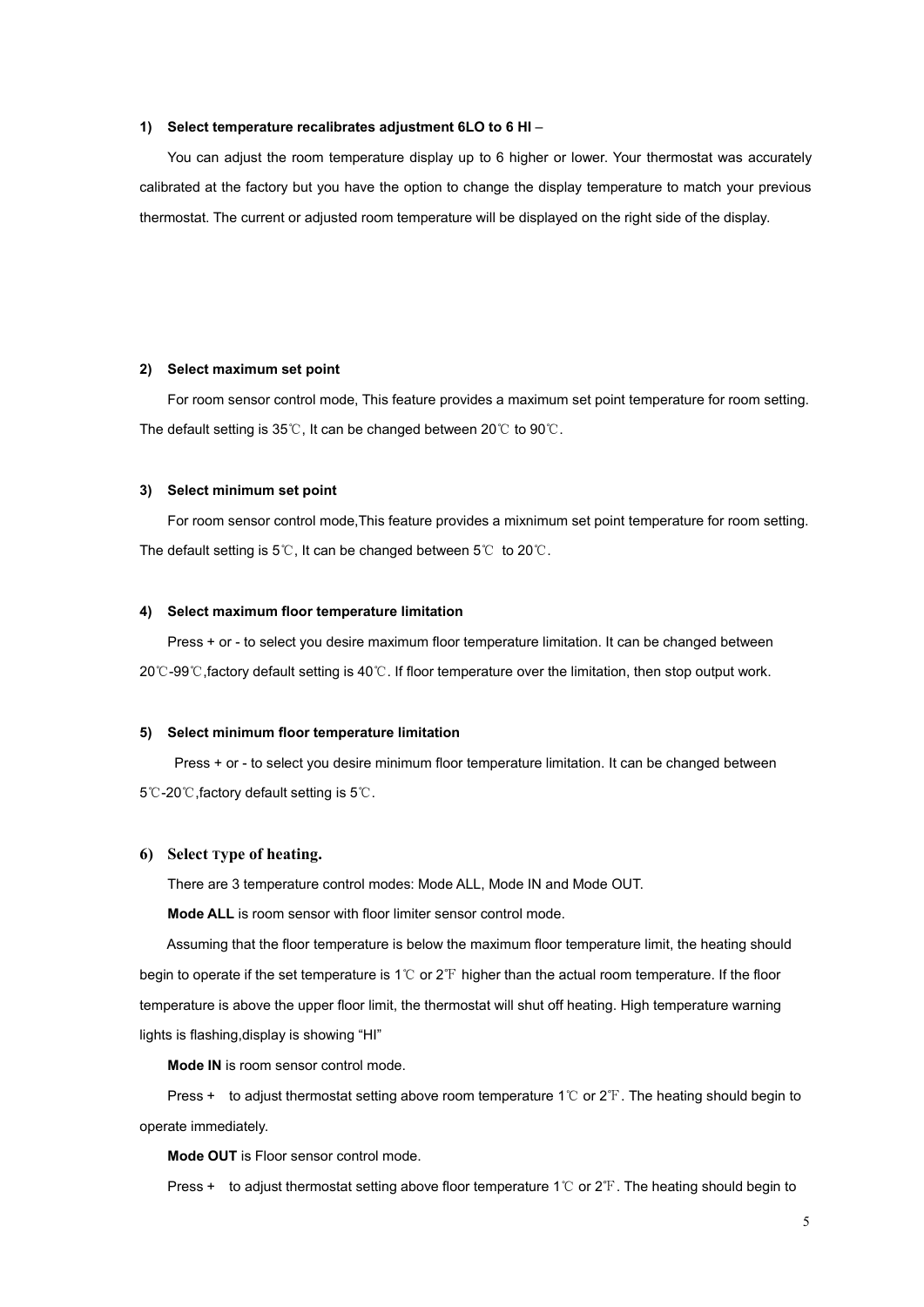**1) Select temperature recalibrates adjustment 6LO to 6 HI** –<br>You can adjust the room temperature display up to 6 higher or lower. Your thermostat was accurately calibrated at the factory but you have the option to change the display temperature to match your previous thermostat. The current or adjusted room temperature will be displayed on the right side of the display.

#### **2) Select maximum set point**

For room sensor control mode, This feature provides a maximum set point temperature for room setting. The default setting is 35℃, It can be changed between 20℃ to 90℃.

#### **3) Select minimum set point**

For room sensor control mode,This feature provides a mixnimum set point temperature for room setting. The default setting is 5℃, It can be changed between 5℃ to 20℃.

#### **4) Select maximum floor temperature limitation**

Press + or - to select you desire maximum floor temperature limitation. It can be changed between 20℃-99℃,factory default setting is40℃. If floor temperature over the limitation, then stop outputwork.

#### **5) Select minimum floor temperature limitation**

Press + or - to select you desire minimum floor temperature limitation. It can be changed between 5℃-20℃,factory default setting is5℃.

## **6) Select Type of heating.**

There are 3 temperature control modes: Mode ALL, Mode IN and Mode OUT.

**Mode ALL** is room sensor with floor limiter sensor control mode.

Assuming that the floor temperature is below the maximum floor temperature limit, the heating should begin to operate if the set temperature is 1℃ or 2℉ higher than the actual room temperature. If the floor temperature is above the upper floor limit, the thermostat will shut off heating. High temperature warning lights is flashing,display is showing "HI"

**Mode IN** is room sensor control mode.

Press + to adjust thermostat setting above room temperature 1℃ or 2℉. The heating should begin to operate immediately.

**Mode OUT** is Floor sensor control mode.

Press + to adjust thermostat setting above floor temperature 1℃ or 2℉. The heating should begin to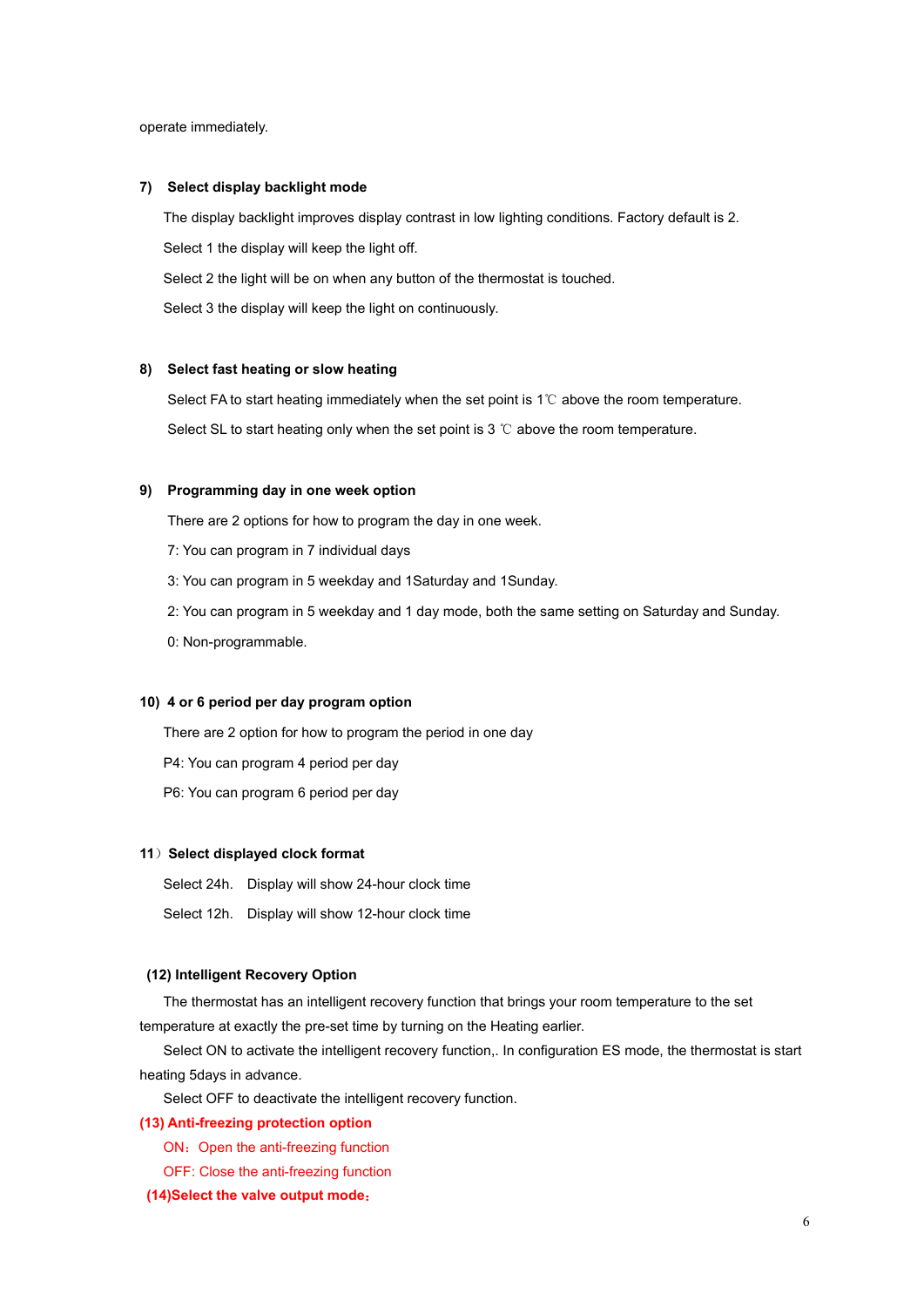operate immediately.

#### **7) Select display backlight mode**

The display backlight improves display contrast in low lighting conditions. Factory default is 2. Select 1 the display will keep the light off.

Select 2 the light will be on when any button of the thermostat is touched.

Select 3 the display will keep the light on continuously.

#### **8) Select fast heating or slow heating**

Select FA to start heating immediately when the set point is 1℃ above the room temperature. Select SL to start heating only when the set point is 3 ℃ above the room temperature.

#### **9) Programming day in one week option**

There are 2 options for how to program the day in one week.

- 7: You can program in 7 individual days
- 3: You can program in 5 weekday and 1Saturday and 1Sunday.
- 2: You can program in 5 weekday and 1 day mode, both the same setting on Saturday and Sunday.
- 0: Non-programmable.

## **10) 4 or 6 period per day program option**

There are 2 option for how to program the period in one day

- P4: You can program 4 period per day
- P6: You can program 6 period per day

#### **11**)**Select displayed clock format**

- Select 24h. Display will show 24-hour clock time
- Select 12h. Display will show 12-hour clock time

## **(12) Intelligent Recovery Option**

The thermostat has an intelligent recovery function that brings your room temperature to the set temperature at exactly the pre-set time by turning on the Heating earlier.

Select ON to activate the intelligent recovery function,. In configuration ES mode, the thermostat is start heating 5days in advance.

Select OFF to deactivate the intelligent recovery function.

## **(13) Anti-freezing protection option**

- ON: Open the anti-freezing function
- OFF: Close the anti-freezing function

## **(14)Select the valve output mode**: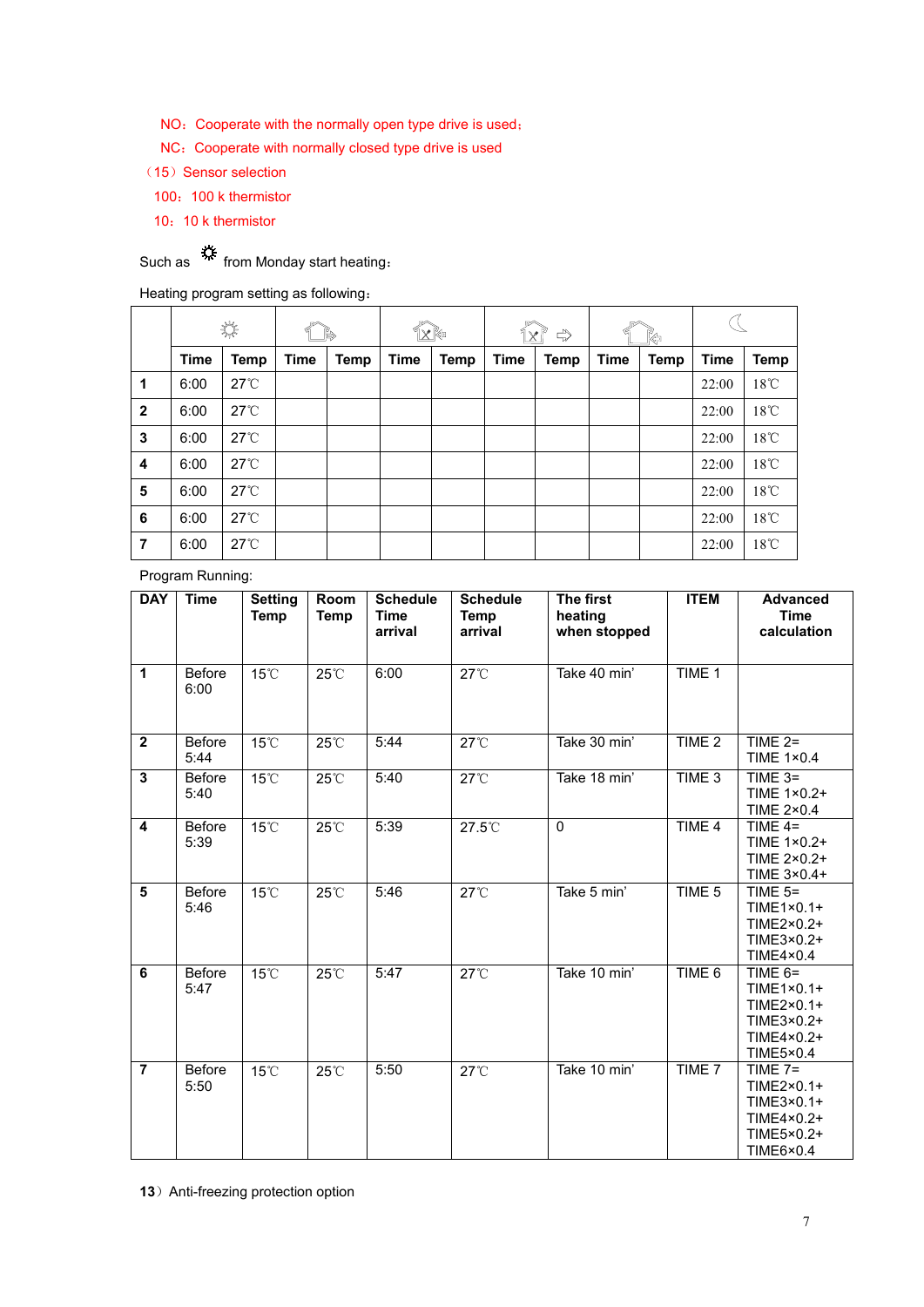- NO: Cooperate with the normally open type drive is used;
- NC: Cooperate with normally closed type drive is used
- (15) Sensor selection
	- 100: 100 k thermistor
- 10:10 k thermistor

Such as  $\stackrel{\text{def}}{\text{def}}$  from Monday start heating:

Heating program setting as following:

|                |      | 柒                  |             |             | ↑×№         |      |      | , ४ ँ<br>$\Rightarrow$ |      | Kə   |             |                |
|----------------|------|--------------------|-------------|-------------|-------------|------|------|------------------------|------|------|-------------|----------------|
|                | Time | Temp               | <b>Time</b> | <b>Temp</b> | <b>Time</b> | Temp | Time | Temp                   | Time | Temp | <b>Time</b> | <b>Temp</b>    |
| $\mathbf 1$    | 6:00 | $27^\circ\text{C}$ |             |             |             |      |      |                        |      |      | 22:00       | $18^{\circ}$ C |
| $\overline{2}$ | 6:00 | $27^{\circ}$       |             |             |             |      |      |                        |      |      | 22:00       | $18^{\circ}$ C |
| $\mathbf{3}$   | 6:00 | $27^\circ\text{C}$ |             |             |             |      |      |                        |      |      | 22:00       | $18^{\circ}$ C |
| 4              | 6:00 | $27^\circ\text{C}$ |             |             |             |      |      |                        |      |      | 22:00       | $18^{\circ}$ C |
| 5              | 6:00 | $27^\circ\text{C}$ |             |             |             |      |      |                        |      |      | 22:00       | $18^{\circ}$ C |
| 6              | 6:00 | $27^\circ\text{C}$ |             |             |             |      |      |                        |      |      | 22:00       | $18^{\circ}$ C |
| $\overline{7}$ | 6:00 | $27^\circ\text{C}$ |             |             |             |      |      |                        |      |      | 22:00       | $18^{\circ}$ C |

Program Running:

| <b>DAY</b>              | <b>Time</b>           | <b>Setting</b><br>Temp | Room<br>Temp | <b>Schedule</b><br><b>Time</b><br>arrival | <b>Schedule</b><br><b>Temp</b><br>arrival | The first<br>heating<br>when stopped | <b>ITEM</b>       | <b>Advanced</b><br><b>Time</b><br>calculation                                           |
|-------------------------|-----------------------|------------------------|--------------|-------------------------------------------|-------------------------------------------|--------------------------------------|-------------------|-----------------------------------------------------------------------------------------|
| $\mathbf{1}$            | <b>Before</b><br>6:00 | 15°C                   | 25°C         | 6:00                                      | $27^{\circ}$ C                            | Take 40 min'                         | TIME 1            |                                                                                         |
| $\overline{2}$          | <b>Before</b><br>5:44 | $15^{\circ}$ C         | 25°C         | 5:44                                      | $27^{\circ}$                              | Take 30 min'                         | TIME 2            | TIME $2=$<br><b>TIME 1×0.4</b>                                                          |
| $\overline{\mathbf{3}}$ | <b>Before</b><br>5:40 | $15^{\circ}$ C         | 25°C         | 5:40                                      | $27^{\circ}$ C                            | Take 18 min'                         | TIME <sub>3</sub> | TIME $3=$<br>TIME 1×0.2+<br><b>TIME 2×0.4</b>                                           |
| $\overline{\mathbf{4}}$ | Before<br>5:39        | 15°C                   | 25°C         | 5:39                                      | 27.5°C                                    | $\mathbf 0$                          | TIME 4            | TIME $4=$<br>TIME 1×0.2+<br>TIME 2×0.2+<br>TIME 3×0.4+                                  |
| $\overline{5}$          | <b>Before</b><br>5:46 | 15°C                   | 25°C         | 5:46                                      | $27^{\circ}$ C                            | Take 5 min'                          | TIME <sub>5</sub> | TIME $5=$<br>TIME1×0.1+<br>TIME2×0.2+<br>TIME3×0.2+<br>TIME4×0.4                        |
| 6                       | <b>Before</b><br>5:47 | 15°C                   | 25°C         | 5:47                                      | $27^{\circ}$ C                            | Take 10 min'                         | TIME 6            | TIME $6=$<br>$TIME1 \times 0.1+$<br>TIME2×0.1+<br>TIME3×0.2+<br>TIME4×0.2+<br>TIME5×0.4 |
| $\overline{7}$          | <b>Before</b><br>5:50 | 15°C                   | 25°C         | 5:50                                      | $27^{\circ}$ C                            | Take 10 min'                         | TIME 7            | TIME $7=$<br>TIME2×0.1+<br>TIME3×0.1+<br>TIME4×0.2+<br>TIME5×0.2+<br>TIME6×0.4          |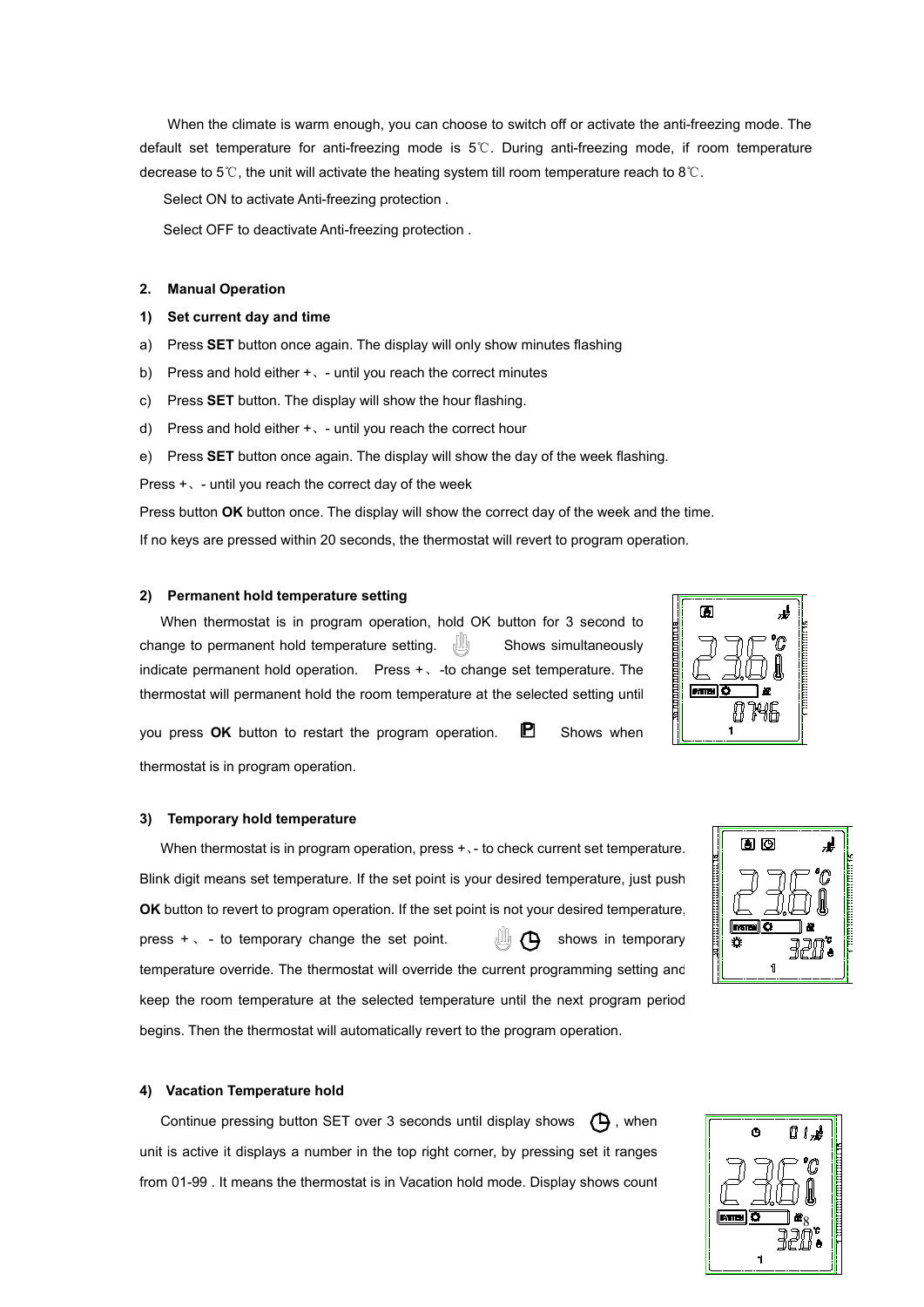When the climate iswarm enough, you can choose to switch off or activate the anti-freezing mode. The default set temperature for anti-freezing mode is 5℃. During anti-freezing mode, if room temperature decrease to 5℃, the unit will activate the heating system till room temperature reach to 8℃.

Select ON to activate Anti-freezing protection .

Select OFF to deactivate Anti-freezing protection .

#### **2. Manual Operation**

## **1) Set current day and time**

- a) Press **SET** button once again. The display will only show minutes flashing
- b) Press and hold either +, until you reach the correct minutes
- c) Press **SET** button. The display will show the hour flashing.
- d) Press and hold either +、- untilyou reach the correct hour
- e) Press **SET** button once again. The display will show the day of the week flashing.

Press  $+$   $\backsim$  - until you reach the correct day of the week

Press button **OK** button once. The display will show the correct day of the week and the time.

If no keys are pressed within 20 seconds, the thermostat will revert to program operation.

#### **2) Permanent hold temperature setting**

When thermostat is in program operation, hold OK button for 3 second to change to permanent hold temperature setting. Shows simultaneously indicate permanent hold operation. Press  $+$   $\sqrt{-1}$  -to change set temperature. The thermostat will permanent hold the room temperature at the selected setting until

you press  $OK$  button to restart the program operation.  $\Box$  Shows when thermostat is in program operation.

#### **3) Temporary hold temperature**

When thermostat is in program operation, press +  $\cdot$  - to check current set temperature.  $\|\cdot\|$ Blink digit means set temperature. If the set point is your desired temperature, just push **OK** button to revert to program operation. If the set point is not your desired temperature, press  $+$   $\cdot$  - to temporary change the set point.  $\Box$   $\Box$  shows in temporary temperature override. The thermostat will override the current programming setting and keep the room temperature at the selected temperature until the next program period begins. Then the thermostat will automatically revert to the program operation.

#### **4) Vacation Temperature hold**

Continue pressing button SET over 3 seconds until display shows  $\bigoplus$ , when unit is active it displays a number in the top right corner, by pressing set it ranges from 01-99 . It means the thermostat is in Vacation hold mode. Display shows count





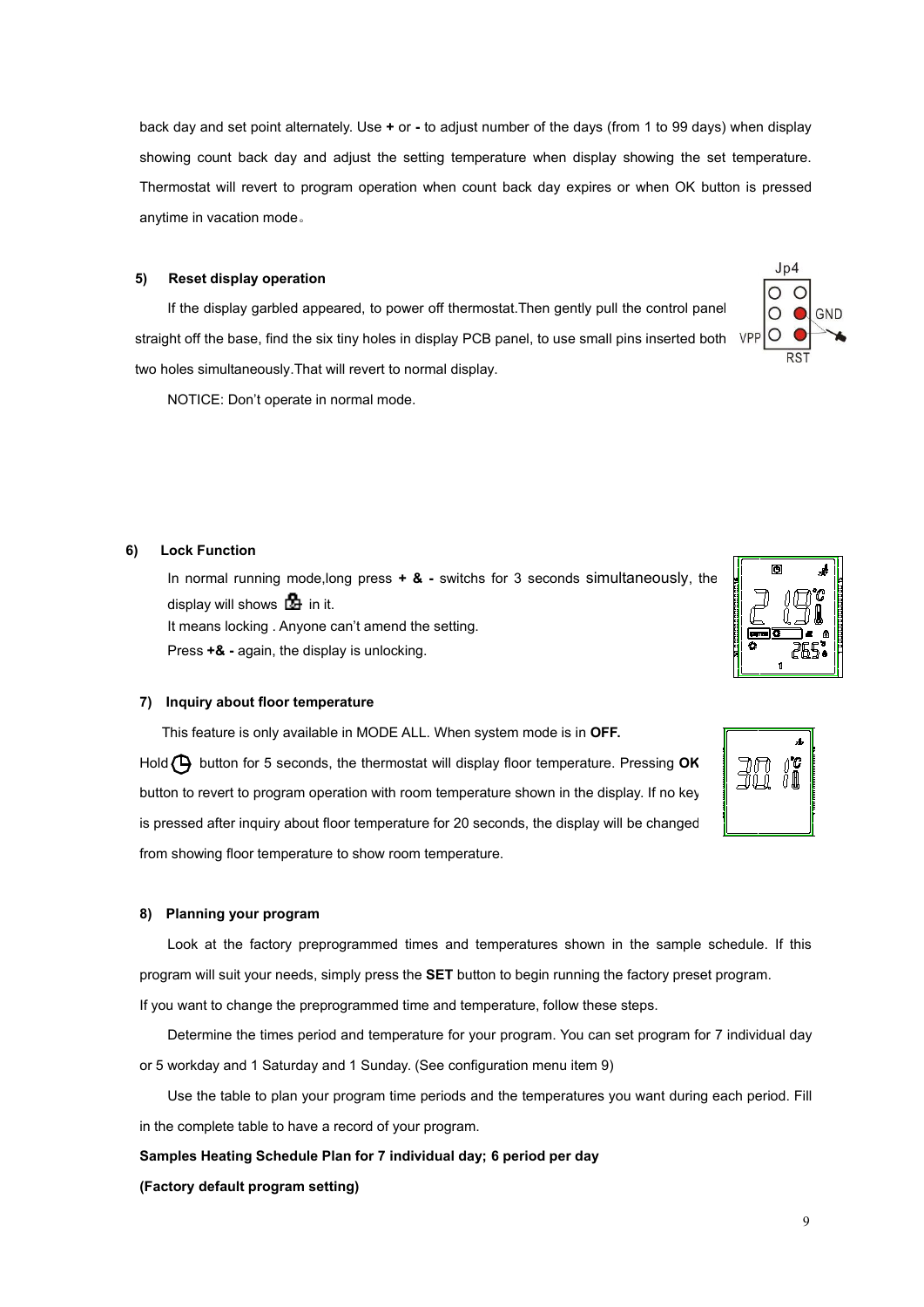back day and set point alternately. Use **+** or - to adjust number of the days (from 1 to 99 days) when display showing count back day and adjust the setting temperature when display showing the set temperature. Thermostat will revert to program operation when count back day expires or when OK button is pressed anytime in vacation mode。

## **5) Reset display operation**

If the display garbled appeared, to power off thermostat.Then gently pull the control panel straight off the base, find the six tiny holes in display PCB panel, to use small pins inserted both two holes simultaneously.That will revert to normal display.

NOTICE: Don't operate in normal mode.

## **6) Lock Function**

In normal running mode,long press **+ & -** switchs for 3 seconds simultaneously, the display will shows  $\mathbb{Z}$  in it. It means locking . Anyone can't amend the setting. Press **+& -** again, the display is unlocking.

## **7) Inquiry about floor temperature**

This feature is only available in MODE ALL. When system mode isin **OFF.**

Hold  $\bigoplus$  button for 5 seconds, the thermostat will display floor temperature. Pressing OK button to revert to program operation with room temperature shown in the display. If no key is pressed after inquiry about floor temperature for 20 seconds, the display will be changed from showing floor temperature to show room temperature.

#### **8) Planning your program**

Look at the factory preprogrammed times and temperatures shown in the sample schedule. If this program will suit your needs, simply press the **SET** button to begin running the factory preset program.

If you want to change the preprogrammed time and temperature, follow these steps.

Determine the times period and temperature for your program. You can set program for 7 individual day or 5 workday and 1 Saturday and 1 Sunday. (See configuration menu item 9)

Use the table to plan your program time periods and the temperatures you want during each period. Fill in the complete table to have a record of your program.

**Samples Heating Schedule Plan for 7 individual day; 6 period per day**

#### **(Factory default program setting)**



 $Jn4$ 

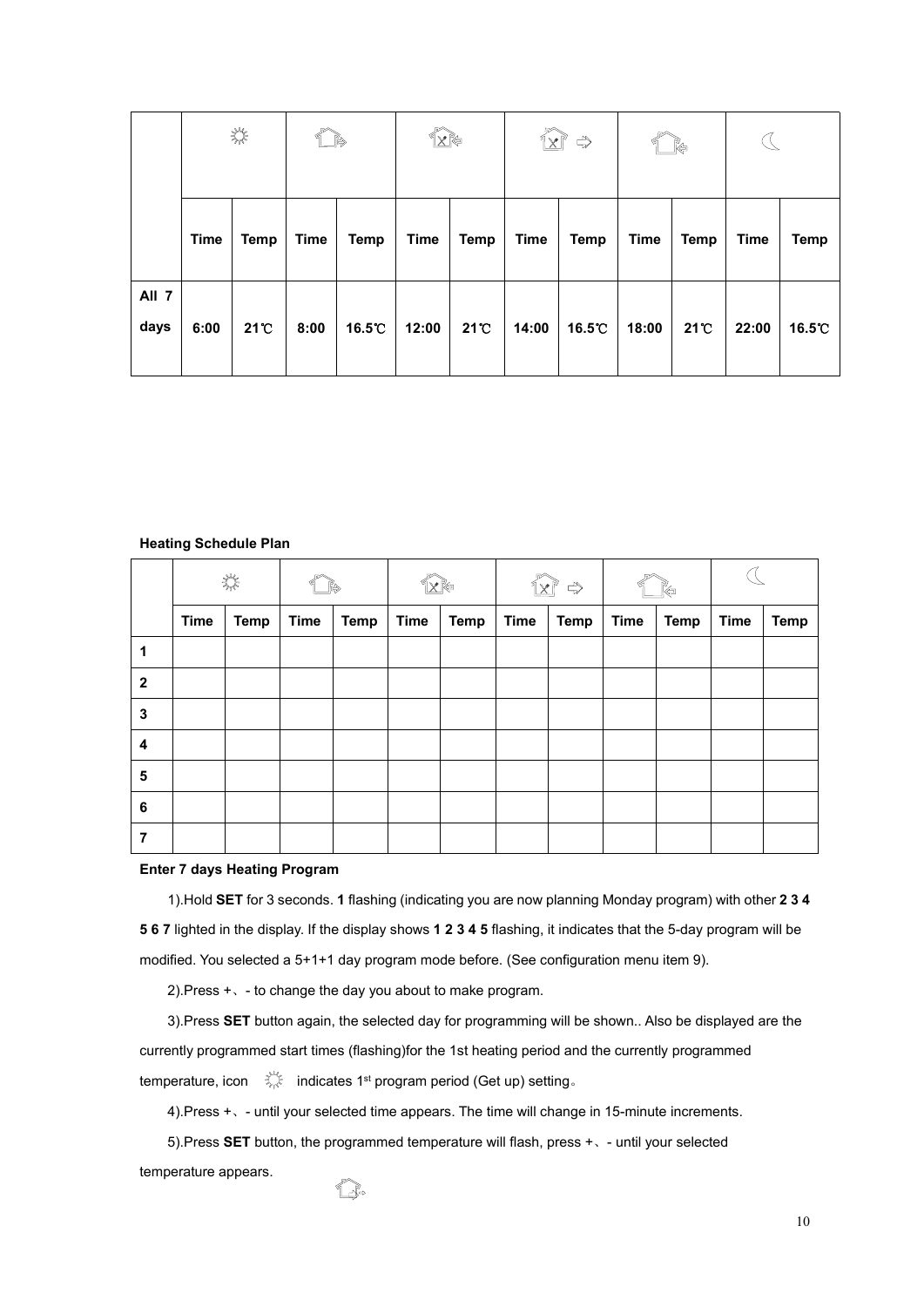|               |             | $\frac{\lambda_{\rm{B}}}{\lambda_{\rm{B}}}\frac{\lambda_{\rm{B}}}{\lambda_{\rm{B}}}$ |             |             | $\mathbb{R}^*$ |      | $\widehat{\mathbb{Z}}$ | $\Rightarrow$ |             | Řə           |             |             |
|---------------|-------------|--------------------------------------------------------------------------------------|-------------|-------------|----------------|------|------------------------|---------------|-------------|--------------|-------------|-------------|
|               | <b>Time</b> | <b>Temp</b>                                                                          | <b>Time</b> | <b>Temp</b> | <b>Time</b>    | Temp | <b>Time</b>            | <b>Temp</b>   | <b>Time</b> | <b>Temp</b>  | <b>Time</b> | <b>Temp</b> |
| All 7<br>days | 6:00        | $21^{\circ}$                                                                         | 8:00        | 16.5°C      | 12:00          | 21 C | 14:00                  | 16.5℃         | 18:00       | $21^{\circ}$ | 22:00       | 16.5℃       |

## **Heating Schedule Plan**

|                         | 柒           |             |             |      | X K⊜        |             | $\times$ $\mathbb{P}$<br>$\Rightarrow$ |      |             |             |             |             |
|-------------------------|-------------|-------------|-------------|------|-------------|-------------|----------------------------------------|------|-------------|-------------|-------------|-------------|
|                         | <b>Time</b> | <b>Temp</b> | <b>Time</b> | Temp | <b>Time</b> | <b>Temp</b> | <b>Time</b>                            | Temp | <b>Time</b> | <b>Temp</b> | <b>Time</b> | <b>Temp</b> |
| 1                       |             |             |             |      |             |             |                                        |      |             |             |             |             |
| $\overline{2}$          |             |             |             |      |             |             |                                        |      |             |             |             |             |
| 3                       |             |             |             |      |             |             |                                        |      |             |             |             |             |
| $\overline{\mathbf{4}}$ |             |             |             |      |             |             |                                        |      |             |             |             |             |
| $\sqrt{5}$              |             |             |             |      |             |             |                                        |      |             |             |             |             |
| $\bf 6$                 |             |             |             |      |             |             |                                        |      |             |             |             |             |
| 7                       |             |             |             |      |             |             |                                        |      |             |             |             |             |

## **Enter 7 days Heating Program**

1).Hold **SET** for 3 seconds. **1** flashing (indicating you are now planning Monday program) with other **2 3 4 5 6 7** lighted in the display. If the display shows **1 2 3 4 5** flashing, it indicates that the 5-day program will be modified. You selected a 5+1+1 day program mode before. (See configuration menu item 9).

2).Press +、- to change the day you about to make program.

1 Re

3).Press **SET** button again, the selected day for programming will be shown.. Also be displayed are the currently programmed start times (flashing)for the 1st heating period and the currently programmed temperature, icon  $\quad \tilde{\leqslant} \quad$  indicates 1st program period (Get up) setting。

4).Press +、- untilyour selected time appears. The time will change in 15-minute increments.

5).Press **SET** button, the programmed temperature will flash, press +、- untilyour selected

temperature appears.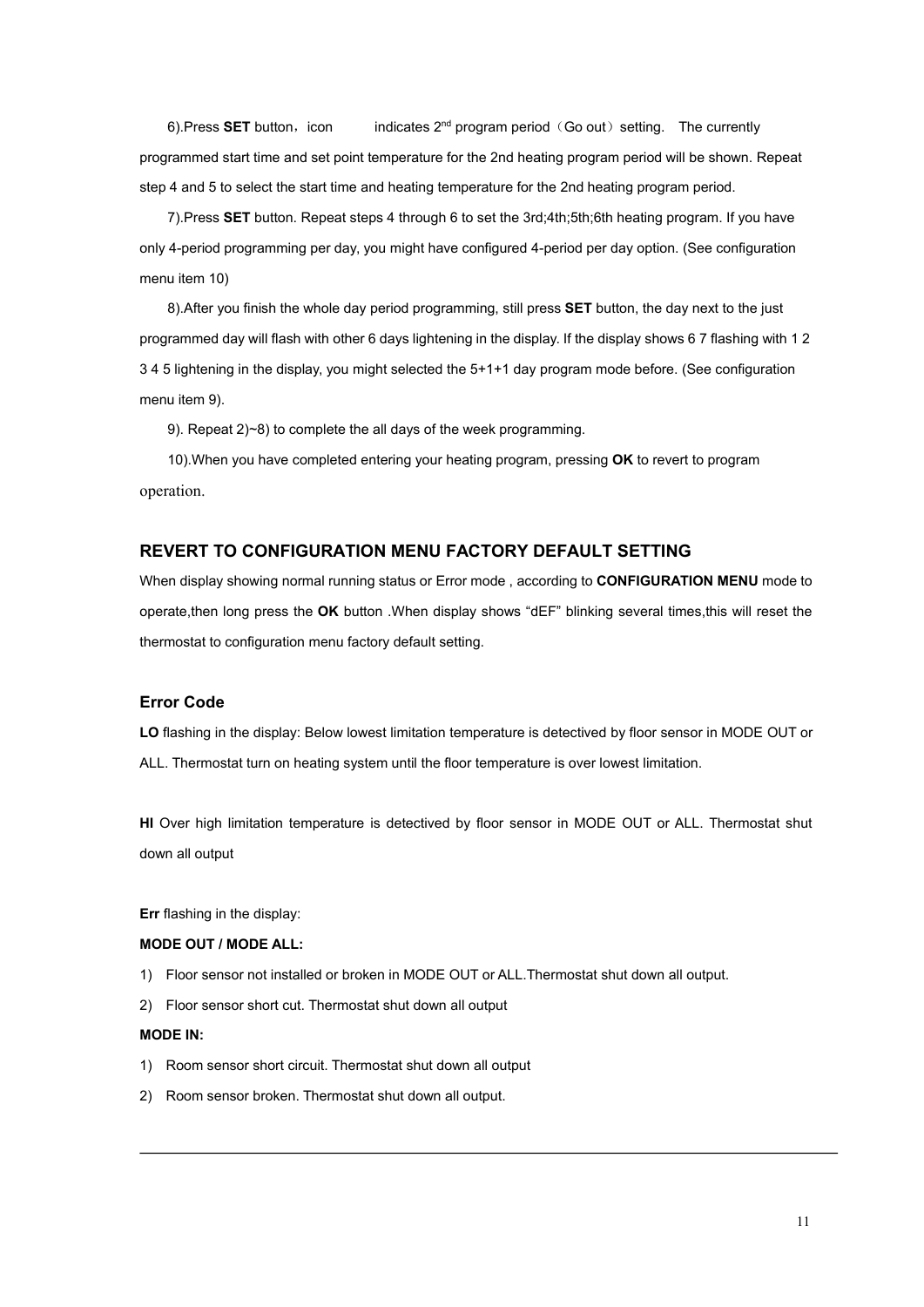6).Press SET button,icon indicates 2<sup>nd</sup> program period(Go out) setting. The currently programmed start time and set point temperature for the 2nd heating program period will be shown. Repeat step 4 and 5 to select the start time and heating temperature for the 2nd heating program period.

7).Press **SET** button. Repeat steps 4 through 6 to set the 3rd;4th;5th;6th heating program. If you have only 4-period programming per day, you might have configured 4-period per day option. (See configuration menu item 10)

8).After you finish the whole day period programming, still press **SET** button, the day next to the just programmed day will flash with other 6 days lightening in the display. If the display shows 6 7 flashing with 1 2 3 4 5 lightening in the display, you might selected the 5+1+1 day program mode before. (See configuration menu item 9).

9). Repeat 2)~8) to complete the all days of the week programming.

10).When you have completed entering your heating program, pressing **OK** to revert to program operation.

# **REVERT TO CONFIGURATION MENU FACTORY DEFAULT SETTING**

When display showing normal running status or Error mode , according to **CONFIGURATION MENU** mode to operate,then long press the **OK** button.When display shows "dEF" blinking several times,this will reset the thermostat to configuration menu factory default setting.

## **Error Code**

LO flashing in the display: Below lowest limitation temperature is detectived by floor sensor in MODE OUT or ALL. Thermostat turn on heating system until the floor temperature is over lowest limitation.

**HI** Over high limitation temperature is detectived by floor sensor in MODE OUT or ALL. Thermostat shut down all output

**Err** flashing in the display:

#### **MODE OUT / MODE ALL:**

- 1) Floor sensor not installed or broken in MODE OUT or ALL.Thermostat shut down all output.
- 2) Floor sensor short cut. Thermostat shut down all output

#### **MODE IN:**

- 1) Room sensor short circuit. Thermostat shut down all output
- 2) Room sensor broken. Thermostat shut down all output.